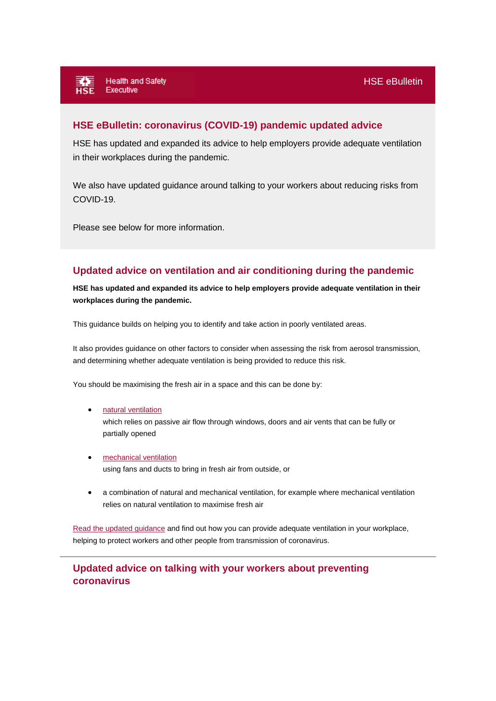## **HSE eBulletin: coronavirus (COVID-19) pandemic updated advice**

HSE has updated and expanded its advice to help employers provide adequate ventilation in their workplaces during the pandemic.

We also have updated guidance around talking to your workers about reducing risks from COVID-19.

Please see below for more information.

## **Updated advice on ventilation and air conditioning during the pandemic**

**HSE has updated and expanded its advice to help employers provide adequate ventilation in their workplaces during the pandemic.**

This guidance builds on helping you to identify and take action in poorly ventilated areas.

It also provides guidance on other factors to consider when assessing the risk from aerosol transmission, and determining whether adequate ventilation is being provided to reduce this risk.

You should be maximising the fresh air in a space and this can be done by:

- [natural ventilation](https://lnks.gd/l/eyJhbGciOiJIUzI1NiJ9.eyJidWxsZXRpbl9saW5rX2lkIjoxMDIsInVyaSI6ImJwMjpjbGljayIsImJ1bGxldGluX2lkIjoiMjAyMTAzMTIuMzY4Njg0NDEiLCJ1cmwiOiJodHRwczovL3d3dy5oc2UuZ292LnVrL2Nvcm9uYXZpcnVzL2VxdWlwbWVudC1hbmQtbWFjaGluZXJ5L2Fpci1jb25kaXRpb25pbmctYW5kLXZlbnRpbGF0aW9uL2ltcHJvdmUtbmF0dXJhbC12ZW50aWxhdGlvbi5odG0_dXRtX3NvdXJjZT1nb3ZkZWxpdmVyeSZ1dG1fbWVkaXVtPWVtYWlsJnV0bV9jYW1wYWlnbj1jb3JvbmF2aXJ1cyZ1dG1fdGVybT12ZW50aWxhdGlvbi11cGRhdGUtbmF0dXJhbCZ1dG1fY29udGVudD1jb3ZpZC0xMi1tYXItMjEifQ.A4a3QhkONiDlfLYEK7qDW95nWsFVxWytQN8HXyst1Lo/s/672181388/br/99819503226-l) which relies on passive air flow through windows, doors and air vents that can be fully or partially opened
- [mechanical ventilation](https://lnks.gd/l/eyJhbGciOiJIUzI1NiJ9.eyJidWxsZXRpbl9saW5rX2lkIjoxMDMsInVyaSI6ImJwMjpjbGljayIsImJ1bGxldGluX2lkIjoiMjAyMTAzMTIuMzY4Njg0NDEiLCJ1cmwiOiJodHRwczovL3d3dy5oc2UuZ292LnVrL2Nvcm9uYXZpcnVzL2VxdWlwbWVudC1hbmQtbWFjaGluZXJ5L2Fpci1jb25kaXRpb25pbmctYW5kLXZlbnRpbGF0aW9uL2ltcHJvdmUtbWVjaGFuaWNhbC12ZW50aWxhdGlvbi5odG0_dXRtX3NvdXJjZT1nb3ZkZWxpdmVyeSZ1dG1fbWVkaXVtPWVtYWlsJnV0bV9jYW1wYWlnbj1jb3JvbmF2aXJ1cyZ1dG1fdGVybT12ZW50aWxhdGlvbi11cGRhdGUtbWVjaGFuaWNhbCZ1dG1fY29udGVudD1jb3ZpZC0xMi1tYXItMjEifQ.zA_b4nAYIjE34OB73LsWxb2PgSUs4lK64SDc6BHF8_k/s/672181388/br/99819503226-l) using fans and ducts to bring in fresh air from outside, or
- a combination of natural and mechanical ventilation, for example where mechanical ventilation relies on natural ventilation to maximise fresh air

[Read the updated guidance](https://lnks.gd/l/eyJhbGciOiJIUzI1NiJ9.eyJidWxsZXRpbl9saW5rX2lkIjoxMDQsInVyaSI6ImJwMjpjbGljayIsImJ1bGxldGluX2lkIjoiMjAyMTAzMTIuMzY4Njg0NDEiLCJ1cmwiOiJodHRwczovL3d3dy5oc2UuZ292LnVrL2Nvcm9uYXZpcnVzL2VxdWlwbWVudC1hbmQtbWFjaGluZXJ5L2Fpci1jb25kaXRpb25pbmctYW5kLXZlbnRpbGF0aW9uL2luZGV4Lmh0bT91dG1fc291cmNlPWdvdmRlbGl2ZXJ5JnV0bV9tZWRpdW09ZW1haWwmdXRtX2NhbXBhaWduPWNvcm9uYXZpcnVzJnV0bV90ZXJtPXZlbnRpbGF0aW9uLXVwZGF0ZS1ndWlkYW5jZSZ1dG1fY29udGVudD1jb3ZpZC0xMi1tYXItMjEifQ.3WTrxSMPmVjU90B8cMoZcf3dMr8wHGJapfpxLiuJOxA/s/672181388/br/99819503226-l) and find out how you can provide adequate ventilation in your workplace, helping to protect workers and other people from transmission of coronavirus.

## **Updated advice on talking with your workers about preventing coronavirus**